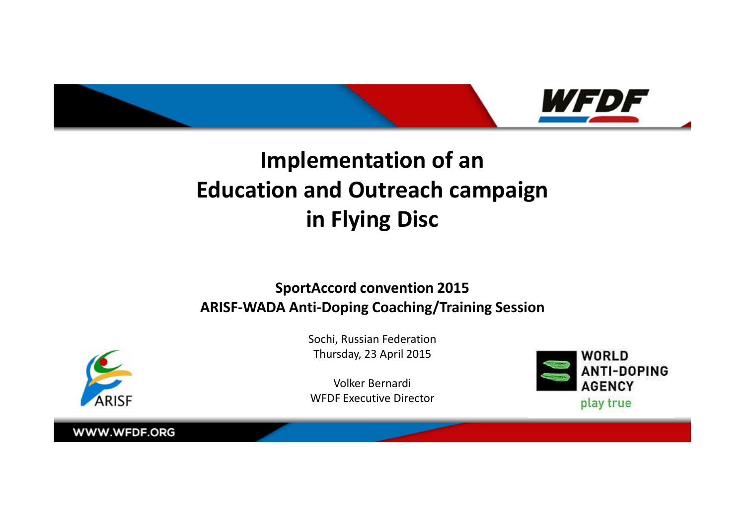

# **Implementation of an Education and Outreach campaignin Flying Disc**

### **SportAccord convention 2015ARISF-WADA Anti-Doping Coaching/Training Session**



Sochi, Russian FederationThursday, 23 April 2015

Volker BernardiWFDF Executive Director

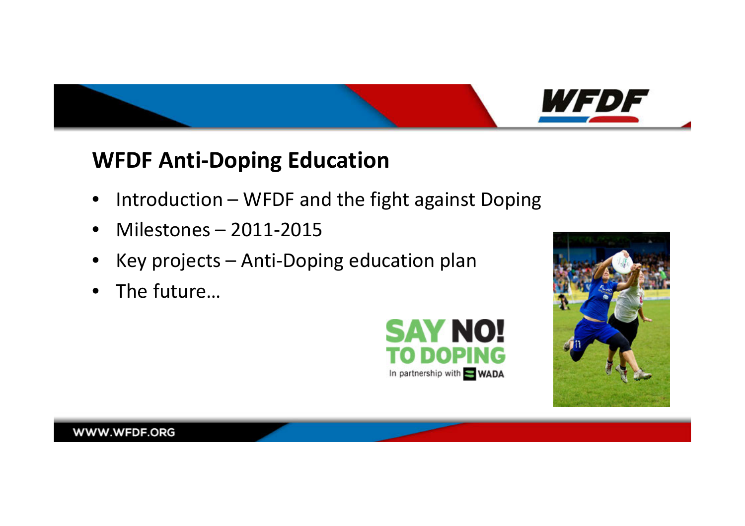

### **WFDF Anti-Doping Education**

- $\bullet$ Introduction – WFDF and the fight against Doping
- Milestones 2011-2015
- •Key projects – Anti-Doping education plan
- •The future…



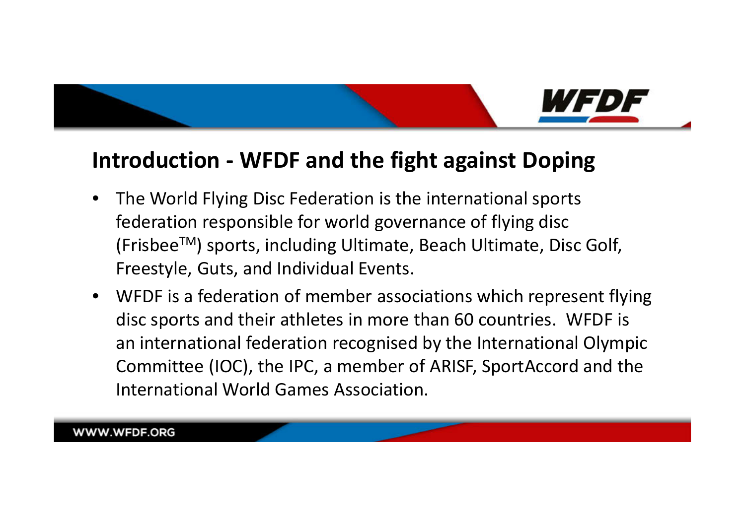

### **Introduction - WFDF and the fight against Doping**

- $\bullet$  The World Flying Disc Federation is the international sports federation responsible for world governance of flying disc (FrisbeeTM) sports, including Ultimate, Beach Ultimate, Disc Golf, Freestyle, Guts, and Individual Events.
- WFDF is a federation of member associations which represent flying disc sports and their athletes in more than 60 countries. WFDF is an international federation recognised by the International Olympic Committee (IOC), the IPC, a member of ARISF, SportAccord and the International World Games Association.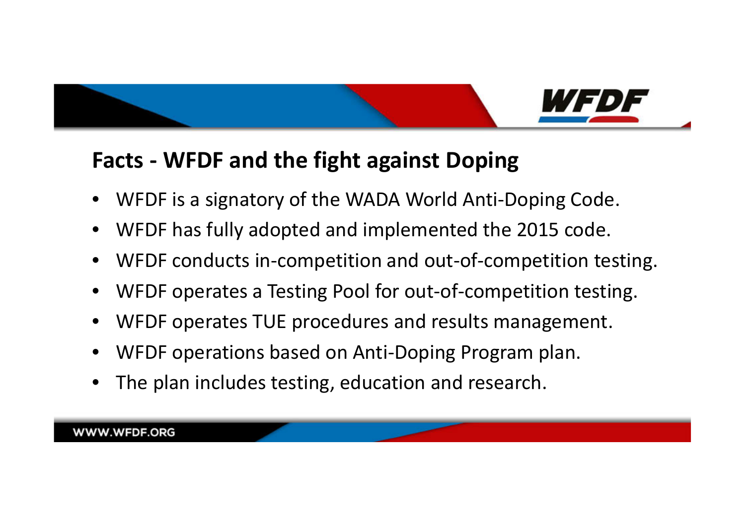

### **Facts - WFDF and the fight against Doping**

- •WFDF is a signatory of the WADA World Anti-Doping Code.
- •WFDF has fully adopted and implemented the 2015 code.
- •WFDF conducts in-competition and out-of-competition testing.
- •WFDF operates a Testing Pool for out-of-competition testing.
- •WFDF operates TUE procedures and results management.
- •WFDF operations based on Anti-Doping Program plan.
- •The plan includes testing, education and research.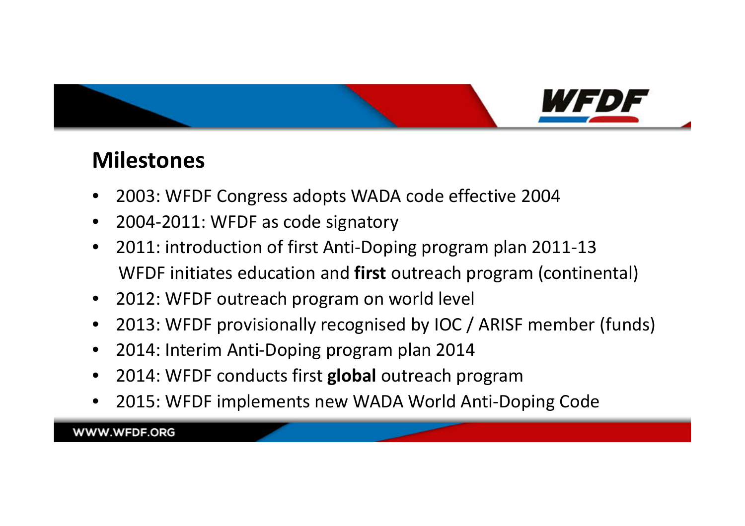

### **Milestones**

- $\bullet$ 2003: WFDF Congress adopts WADA code effective 2004
- $\bullet$ 2004-2011: WFDF as code signatory
- • 2011: introduction of first Anti-Doping program plan 2011-13WFDF initiates education and **first** outreach program (continental)
- $\bullet$ 2012: WFDF outreach program on world level
- $\bullet$ 2013: WFDF provisionally recognised by IOC / ARISF member (funds)
- •2014: Interim Anti-Doping program plan 2014
- •2014: WFDF conducts first **global** outreach program
- 2015: WFDF implements new WADA World Anti-Doping Code $\bullet$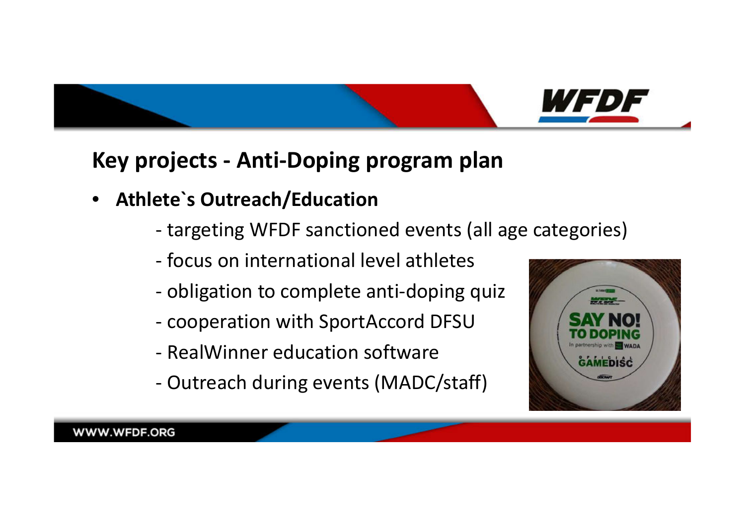

### **Key projects - Anti-Doping program plan**

- **Athlete`s Outreach/Education**
	- targeting WFDF sanctioned events (all age categories)
	- focus on international level athletes
	- obligation to complete anti-doping quiz
	- cooperation with SportAccord DFSU
	- -RealWinner education software
	- -Outreach during events (MADC/staff)

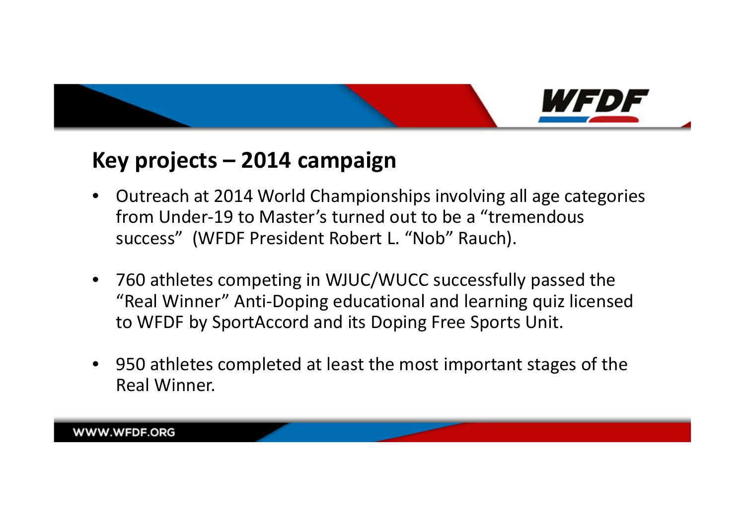

### **Key projects – 2014 campaign**

- $\bullet$  Outreach at 2014 World Championships involving all age categories from Under-19 to Master's turned out to be a "tremendous success" (WFDF President Robert L. "Nob" Rauch).
- 760 athletes competing in WJUC/WUCC successfully passed the "Real Winner" Anti-Doping educational and learning quiz licensed to WFDF by SportAccord and its Doping Free Sports Unit.
- 950 athletes completed at least the most important stages of the Real Winner.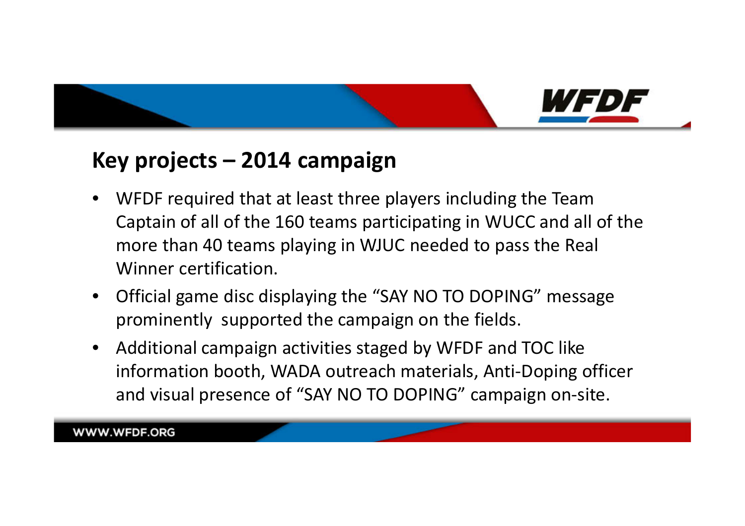

### **Key projects – 2014 campaign**

- • WFDF required that at least three players including the Team Captain of all of the 160 teams participating in WUCC and all of the more than 40 teams playing in WJUC needed to pass the Real Winner certification.
- • Official game disc displaying the "SAY NO TO DOPING" message prominently supported the campaign on the fields.
- $\bullet$  Additional campaign activities staged by WFDF and TOC like information booth, WADA outreach materials, Anti-Doping officer and visual presence of "SAY NO TO DOPING" campaign on-site.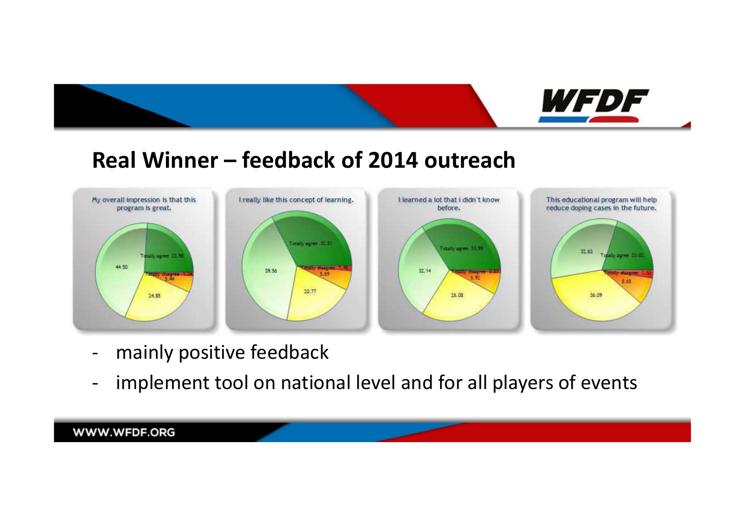

## **Real Winner – feedback of 2014 outreach**



- mainly positive feedback
- $\overline{\phantom{0}}$ implement tool on national level and for all players of events

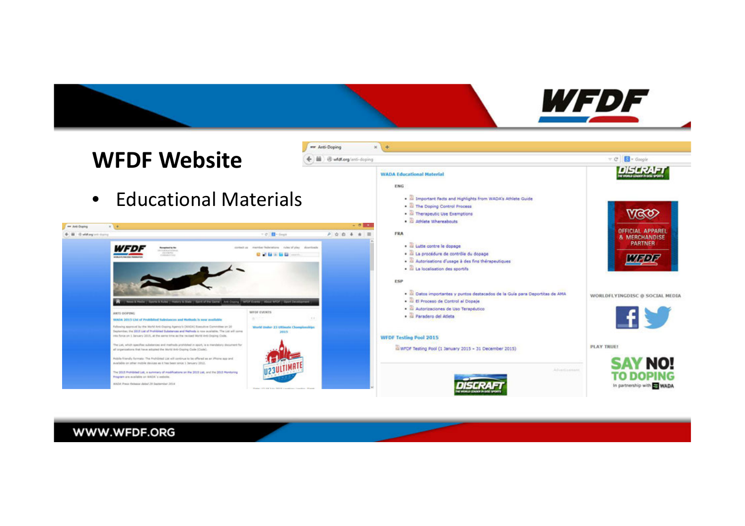

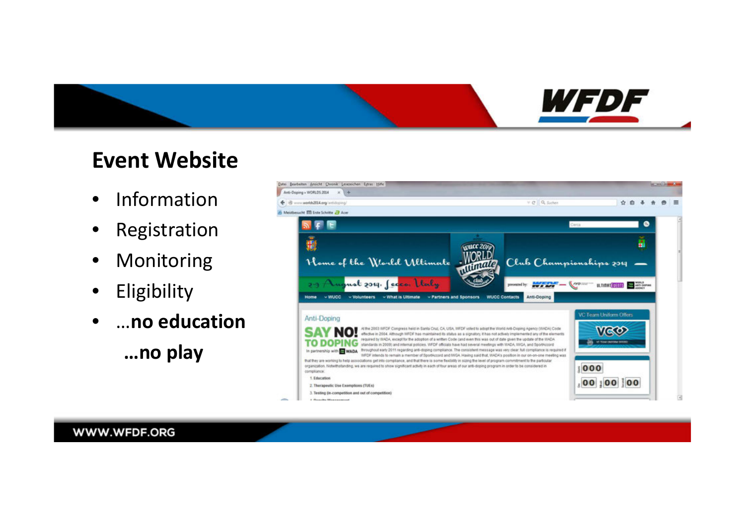

### **Event Website**

- $\bullet$ Information
- $\bullet$ Registration
- •Monitoring
- $\bullet$ Eligibility
- $\bullet$ …**no education…no play**

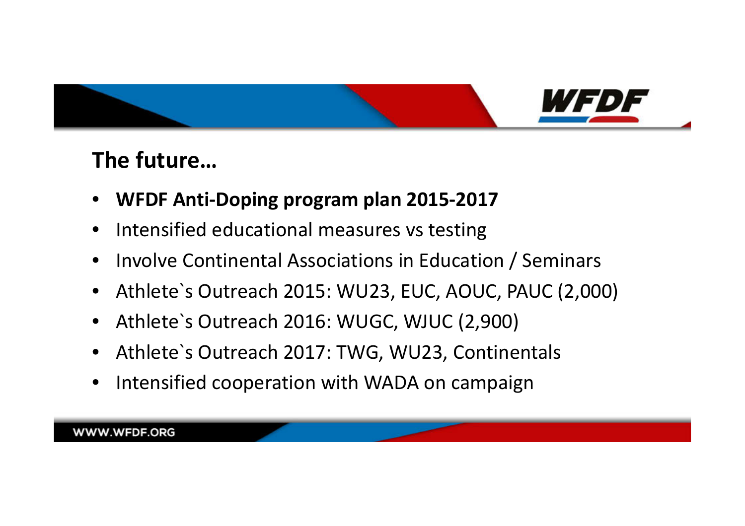

### **The future…**

- •**WFDF Anti-Doping program plan 2015-2017**
- $\bullet$ Intensified educational measures vs testing
- •Involve Continental Associations in Education / Seminars
- Athlete`s Outreach 2015: WU23, EUC, AOUC, PAUC (2,000)
- $\bullet$ Athlete`s Outreach 2016: WUGC, WJUC (2,900)
- Athlete`s Outreach 2017: TWG, WU23, Continentals
- $\bullet$ Intensified cooperation with WADA on campaign